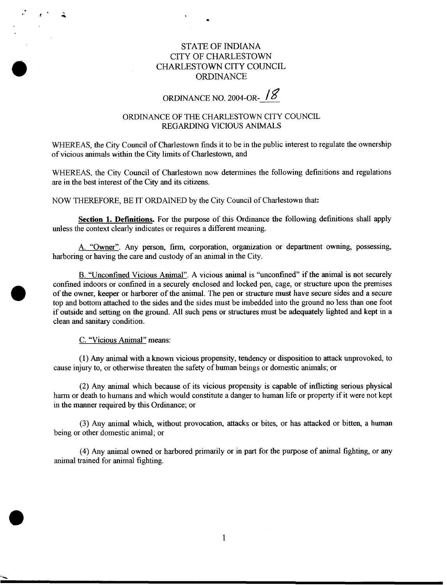## STATE OF **INDIANA**  CITY OF CHARLESTOWN CHARLESTOWN CITY COUNCIL ORDINANCE

# ORDINANCE NO. 2004-OR-

## ORDINANCE OF THE CHARLESTOWN CITY COUNCIL REGARDING VICIOUS ANIMALS

WHEREAS, the City Council of Charlestown finds it to be in the public interest to regulate the ownership of vicious animals within the City limits of Charlestown, and

WHEREAS, the City Council of Charlestown now determines the following definitions and regulations are in the best interest of the City and its citizens.

NOW THEREFORE, BE IT ORDAINED by the City Council of Charlestown that:

**Section 1. Definitions.** For the purpose of this Ordinance the following definitions shall apply unless the context clearly indicates or requires a different meaning.

**A.** "Owner". Any person, firm, corporation, organization or department owning, possessing, harboring or having the care and custody of an animal in the City.

B. "Unconfined Vicious Animal". A vicious animal is "unconfined" if the animal is not securely confined indoors or confined in a securely enclosed and locked pen, cage, or structure upon the premises of the owner, keeper or harborer of the animal. The pen or structure must have secure sides and **a** secure top and bottom attached to the sides and the sides must be imbedded into the ground no less than one foot if outside and setting on the ground. All such pens or structures must be adequately lighted and kept in a clean and sanitary condition.

C. "Vicious Animal" means:

(1) Any animal with a known vicious propensity, tendency or disposition to attack unprovoked, to cause injury to, or otherwise threaten the safety of human beings or domestic animals; or

(2) **Any** animal which because of its vicious propensity is capable of inflicting serious physical harm or death to humans and which would constitute a danger to human life or property if it were not kept in the manner required by this Ordinance; or

**(3) Any** animal which without provocation, attacks or bites, or has attacked or bitten, a human being or other domestic animal; or

(4) **Any** animal owned or harbored primarily or in part for the purpose of animal fighting, or any animal trained for animal fighting.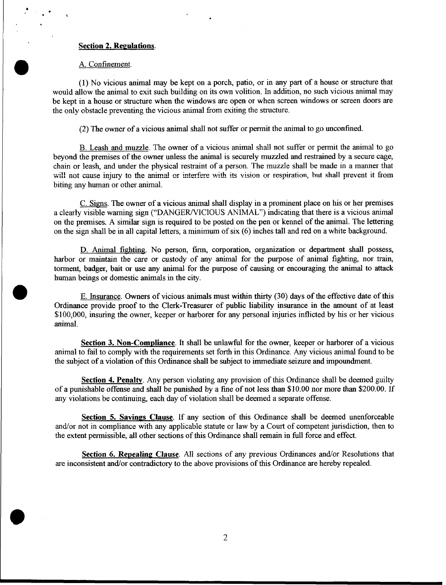### **Section 2. Regulations**

#### A. Confinement.

'

(1) No vicious animal may be kept on a porch, patio, or in any part of a house or structure that would allow the animal to exit such building on its own volition. In addition, no such vicious animal may be kept in a house or structure when the windows are open or when screen windows or screen doors are the **only** obstacle preventing the vicious animal from exiting the structure.

(2) The owner of a vicious animal shall not suffer or permit the animal to *go* unconfined.

B. Leash and muzzle. The owner of a vicious animal shall not suffer or permit the animal to go beyond the premises of the owner unless the animal is securely muzzled and restrained by a secure cage, chain or leash, and under the physical restraint of a person. The muzzle shall be made in a manner that **will no: cause** injury **to the animal or interfere with** its **vision or respiration, but shall** prevent it **from**  biting any human or other animal.

C. Signs. The owner of a vicious animal shall display in a prominent place on his or her premises a clearly visible warning sign ("DANGER/VICIOUS ANIMAL") indicating that there is a vicious animal on the premises. A similar sign is required to be posted on the pen or kennel of the animal. The lettering on the sign shall be in all capital letters, a minimum of six **(6)** inches tall and red on a white background.

D. Animal **fighting** No person, firm corporation, organization or department shall possess, harbor or maintain the care or custody of any animal for the purpose of animal fighting, nor train, torment, badger, bait or use any animal for the purpose of causing or encouraging the animal to attack human beings or domestic animals in the city.

E. Insurance. Owners of vicious animals must within thirty **(30)** days of the effective date of this Ordinance provide proof to the Clerk-Treasurer of public liability insurance in the amount of at least \$100,000, insuring the owner, keeper or harborer for any personal injuries inflicted by his or her vicious animal.

**Section 3. Non-Compliance** It shall be unlawful for the owner, keeper or harborer of a vicious animal to fail to comply with the requirements set forth in this Ordinance. Any vicious animal found to be the subject of a violation **of** this Ordinance shall be subject to immediate seizure and impoundment.

**Section 4. Penalty.** Any person violating any provision of this Ordinance shall be deemed guilty of a punishable offense and shall be punished by a fine of not less than \$10.00 nor more than \$200.00. If any violations be continuing, each day of violation shall be deemed a separate offense.

**Section 5. Savings Clause.** If any section of this Ordinance shall be deemed unenforceable and/or not in compliance with any applicable statute or law by a Court of competent jurisdiction, then to the extent permissible, all other sections of this Ordinance shall remain in full force and effect.

**Section 6. Repealing Clause.** All sections of any previous Ordinances and/or Resolutions that are inconsistent and/or contradictory to the above provisions of **this** Ordinance are hereby repealed.